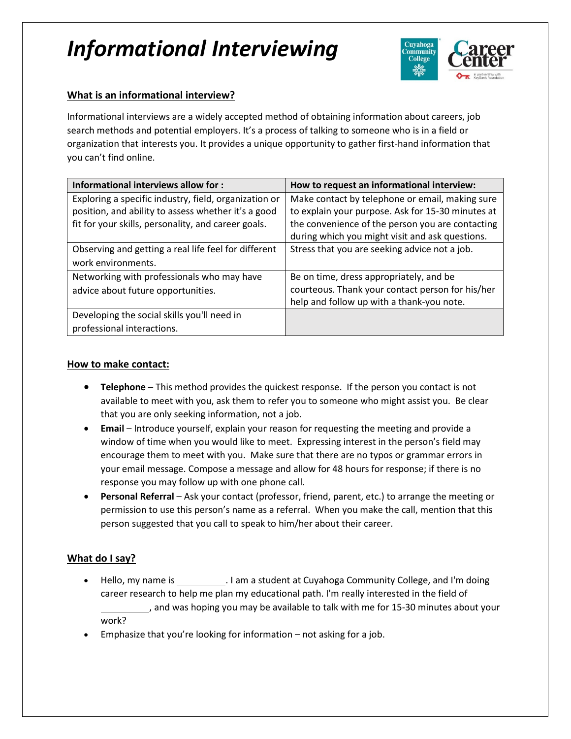# *Informational Interviewing*



# **What is an informational interview?**

Informational interviews are a widely accepted method of obtaining information about careers, job search methods and potential employers. It's a process of talking to someone who is in a field or organization that interests you. It provides a unique opportunity to gather first-hand information that you can't find online.

| Informational interviews allow for :                  | How to request an informational interview:        |
|-------------------------------------------------------|---------------------------------------------------|
| Exploring a specific industry, field, organization or | Make contact by telephone or email, making sure   |
| position, and ability to assess whether it's a good   | to explain your purpose. Ask for 15-30 minutes at |
| fit for your skills, personality, and career goals.   | the convenience of the person you are contacting  |
|                                                       | during which you might visit and ask questions.   |
| Observing and getting a real life feel for different  | Stress that you are seeking advice not a job.     |
| work environments.                                    |                                                   |
| Networking with professionals who may have            | Be on time, dress appropriately, and be           |
| advice about future opportunities.                    | courteous. Thank your contact person for his/her  |
|                                                       | help and follow up with a thank-you note.         |
| Developing the social skills you'll need in           |                                                   |
| professional interactions.                            |                                                   |

### **How to make contact:**

- **Telephone** This method provides the quickest response. If the person you contact is not available to meet with you, ask them to refer you to someone who might assist you. Be clear that you are only seeking information, not a job.
- **Email** Introduce yourself, explain your reason for requesting the meeting and provide a window of time when you would like to meet. Expressing interest in the person's field may encourage them to meet with you. Make sure that there are no typos or grammar errors in your email message. Compose a message and allow for 48 hours for response; if there is no response you may follow up with one phone call.
- **Personal Referral** Ask your contact (professor, friend, parent, etc.) to arrange the meeting or permission to use this person's name as a referral. When you make the call, mention that this person suggested that you call to speak to him/her about their career.

## **What do I say?**

- Hello, my name is \_\_\_\_\_\_\_\_\_\_\_\_. I am a student at Cuyahoga Community College, and I'm doing career research to help me plan my educational path. I'm really interested in the field of , and was hoping you may be available to talk with me for 15-30 minutes about your work?
- Emphasize that you're looking for information not asking for a job.